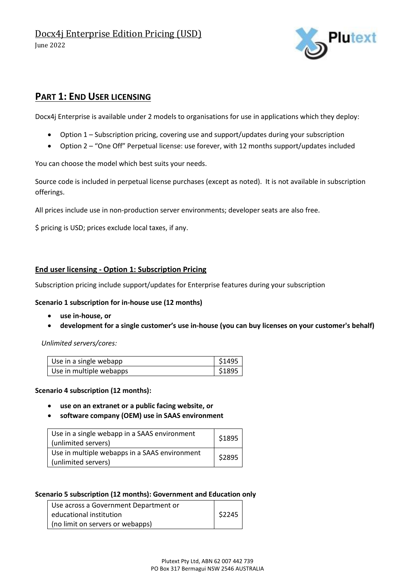Docx4j Enterprise Edition Pricing (USD) June 2022



### **PART 1: END USER LICENSING**

Docx4j Enterprise is available under 2 models to organisations for use in applications which they deploy:

- Option 1 Subscription pricing, covering use and support/updates during your subscription
- Option 2 "One Off" Perpetual license: use forever, with 12 months support/updates included

You can choose the model which best suits your needs.

Source code is included in perpetual license purchases (except as noted). It is not available in subscription offerings.

All prices include use in non-production server environments; developer seats are also free.

\$ pricing is USD; prices exclude local taxes, if any.

#### **End user licensing - Option 1: Subscription Pricing**

Subscription pricing include support/updates for Enterprise features during your subscription

#### **Scenario 1 subscription for in-house use (12 months)**

- **use in-house, or**
- **development for a single customer's use in-house (you can buy licenses on your customer's behalf)**

*Unlimited servers/cores:*

| Use in a single webapp  | \$1495 |
|-------------------------|--------|
| Use in multiple webapps | \$1895 |

#### **Scenario 4 subscription (12 months):**

- **use on an extranet or a public facing website, or**
- **software company (OEM) use in SAAS environment**

| Use in a single webapp in a SAAS environment<br>(unlimited servers)  | \$1895 |
|----------------------------------------------------------------------|--------|
| Use in multiple webapps in a SAAS environment<br>(unlimited servers) | \$2895 |

#### **Scenario 5 subscription (12 months): Government and Education only**

| Use across a Government Department or |        |
|---------------------------------------|--------|
| educational institution               | \$2245 |
| (no limit on servers or webapps)      |        |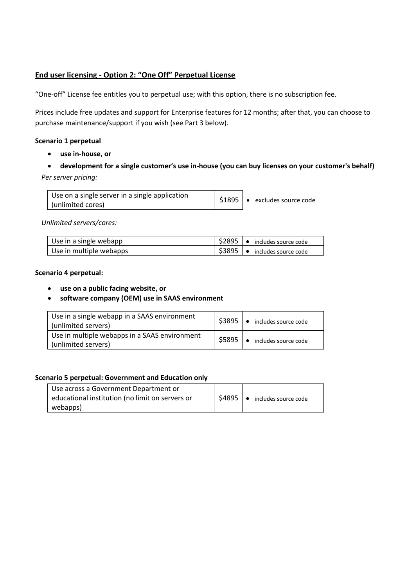### **End user licensing - Option 2: "One Off" Perpetual License**

"One-off" License fee entitles you to perpetual use; with this option, there is no subscription fee.

Prices include free updates and support for Enterprise features for 12 months; after that, you can choose to purchase maintenance/support if you wish (see Part 3 below).

#### **Scenario 1 perpetual**

- **use in-house, or**
- **development for a single customer's use in-house (you can buy licenses on your customer's behalf)** *Per server pricing:*

| Use on a single server in a single application |  | $\frac{1}{2}$ \$1895   • excludes source code |
|------------------------------------------------|--|-----------------------------------------------|
| (unlimited cores)                              |  |                                               |

*Unlimited servers/cores:*

| Use in a single webapp  | \$2895   ● includes source code   |
|-------------------------|-----------------------------------|
| Use in multiple webapps | 1 \$3895   ● includes source code |

#### **Scenario 4 perpetual:**

- **use on a public facing website, or**
- **software company (OEM) use in SAAS environment**

| Use in a single webapp in a SAAS environment<br>(unlimited servers)  | \$3895 | includes source code<br>$\bullet$ |
|----------------------------------------------------------------------|--------|-----------------------------------|
| Use in multiple webapps in a SAAS environment<br>(unlimited servers) | \$5895 | • includes source code            |

#### **Scenario 5 perpetual: Government and Education only**

| Use across a Government Department or           |        |                                   |
|-------------------------------------------------|--------|-----------------------------------|
| educational institution (no limit on servers or | \$4895 | includes source code<br>$\bullet$ |
| webapps)                                        |        |                                   |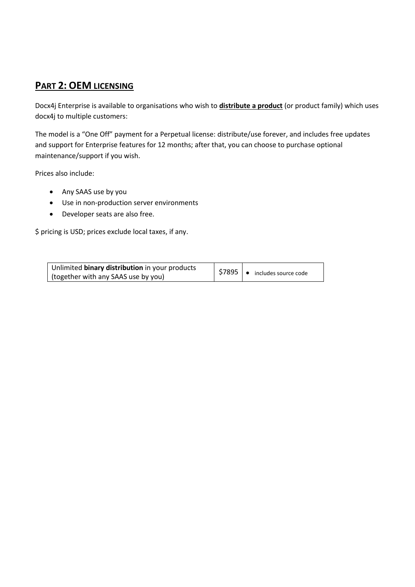## **PART 2: OEM LICENSING**

Docx4j Enterprise is available to organisations who wish to **distribute a product** (or product family) which uses docx4j to multiple customers:

The model is a "One Off" payment for a Perpetual license: distribute/use forever, and includes free updates and support for Enterprise features for 12 months; after that, you can choose to purchase optional maintenance/support if you wish.

Prices also include:

- Any SAAS use by you
- Use in non-production server environments
- Developer seats are also free.

\$ pricing is USD; prices exclude local taxes, if any.

| Unlimited binary distribution in your products | $\frac{1}{2}$ \$7895 $\bullet$ includes source code |
|------------------------------------------------|-----------------------------------------------------|
| (together with any SAAS use by you)            |                                                     |